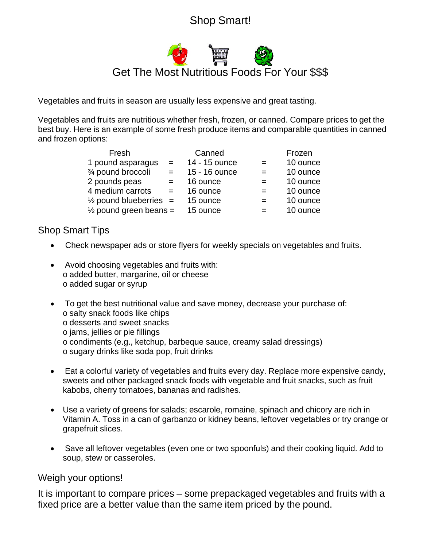## Shop Smart!

## Get The Most Nutritious Foods For Your \$\$\$

Vegetables and fruits in season are usually less expensive and great tasting.

Vegetables and fruits are nutritious whether fresh, frozen, or canned. Compare prices to get the best buy. Here is an example of some fresh produce items and comparable quantities in canned and frozen options:

| Fresh                             |     | Canned        |     | Frozen   |
|-----------------------------------|-----|---------------|-----|----------|
| 1 pound asparagus                 | $=$ | 14 - 15 ounce | $=$ | 10 ounce |
| 3⁄4 pound broccoli                | $=$ | 15 - 16 ounce | $=$ | 10 ounce |
| 2 pounds peas                     | $=$ | 16 ounce      | $=$ | 10 ounce |
| 4 medium carrots                  | $=$ | 16 ounce      | $=$ | 10 ounce |
| $\frac{1}{2}$ pound blueberries = |     | 15 ounce      | $=$ | 10 ounce |
| $\frac{1}{2}$ pound green beans = |     | 15 ounce      | $=$ | 10 ounce |

## Shop Smart Tips

- Check newspaper ads or store flyers for weekly specials on vegetables and fruits.
- Avoid choosing vegetables and fruits with: o added butter, margarine, oil or cheese o added sugar or syrup
- To get the best nutritional value and save money, decrease your purchase of: o salty snack foods like chips o desserts and sweet snacks o jams, jellies or pie fillings o condiments (e.g., ketchup, barbeque sauce, creamy salad dressings) o sugary drinks like soda pop, fruit drinks
- Eat a colorful variety of vegetables and fruits every day. Replace more expensive candy, sweets and other packaged snack foods with vegetable and fruit snacks, such as fruit kabobs, cherry tomatoes, bananas and radishes.
- Use a variety of greens for salads; escarole, romaine, spinach and chicory are rich in Vitamin A. Toss in a can of garbanzo or kidney beans, leftover vegetables or try orange or grapefruit slices.
- Save all leftover vegetables (even one or two spoonfuls) and their cooking liquid. Add to soup, stew or casseroles.

## Weigh your options!

It is important to compare prices – some prepackaged vegetables and fruits with a fixed price are a better value than the same item priced by the pound.